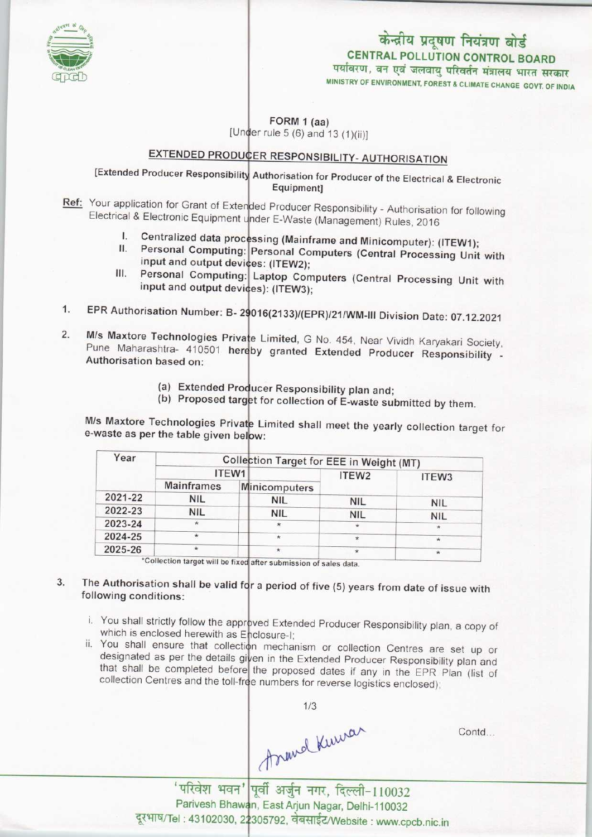

## केन्द्रीय प्रदूषण नियंत्रण बोर्ड CENTRAL POLLUTION CONTROL BOARD<br>पर्यावरण, वन एवं जलवायु परिवर्तन मंत्रालय भारत सरकार

MINISTRY OF ENVIRONMENT, FOREST A CLIMATE CHANGE GOVT. OF INDIA

FORM 1 (aa)

[Under rule  $5(6)$  and  $13(1)(ii)$ ]

# EXTENDED PRODUCER RESPONSIBILITY- AUTHORISATION

[Extended Producer Responsibility Authorisation for Producer of the Electrical & Electronic Equipment]

- Ref: Your application for Grant of Extended Producer Responsibility Authorisation for following Electrical & Electronic Equipment under E-Waste (Management) Rules, 2016 al & Electronic Equipment under E-Waste (Management) Rules, 2016<br>I. Centralized data processing (Mainframe and Minicomputer): (ITEW1);
	-
	- Personal Computing: Personal Computers (Central Processing Unit with input and output devices: (ITEW2); I. Centralized data process II. Personal Computing:
- III. Personal Computing: Laptop Computers (Central Processing Unit with input and output devices): (ITEW3); input and output devices): (ITEW3);<br>1. EPR Authorisation Number: B- 29016(2133)/(EPR)/21/WM-III Division Date: 07.12.2021
- 
- 1. EPR Authorisation Number: B- 29016(2133)/(EPR)/21/WM-III Division Date: 07.12.2021<br>2. M/s Maxtore Technologies Private Limited, G No. 454, Near Vividh Karyakari Society me maktere reemiologies Frivate Limited, G No. 454, Near Vividh Karyakari Society.<br>Pune Maharashtra- 410501 hereby granted Extended Producer Responsibility -Authorisation based on:
	- (a) Extended Producer Responsibility plan and;
	- (a) Exterided Producer Responsibility plan and;<br>(b) Proposed target for collection of E-waste submitted by them.

M/s Maxtore Technologies Private Limited shall meet the yearly collection target for e-waste as per the table given be

| Year    | Collection Target for EEE in Weight (MT) |               |                   |                   |
|---------|------------------------------------------|---------------|-------------------|-------------------|
|         |                                          | ITEW1         | ITEW <sub>2</sub> | ITEW <sub>3</sub> |
|         | <b>Mainframes</b>                        | Minicomputers |                   |                   |
| 2021-22 | <b>NIL</b>                               | <b>NIL</b>    | <b>NIL</b>        | <b>NIL</b>        |
| 2022-23 | <b>NIL</b>                               | <b>NIL</b>    | <b>NIL</b>        | <b>NIL</b>        |
| 2023-24 | ×                                        | ×             | ⋇                 |                   |
| 2024-25 | *                                        | $\star$       | $\star$           | $^{\star}$        |
| 2025-26 | $\star$                                  |               | $^{\star}$        | $\star$           |

<sup>m</sup> of sales data.

#### The Authorisation shall be valid fo<mark>r a period of five (5) years from date of issue wit</mark>h  $3.$ following conditions:

- i. You shall strictly follow the approved Extended Producer Responsibility plan, a copy of which is enclosed herewith as Enclosure-I
- ii. You shall ensure that collection mechanism or collection Centres are set up or designated as per the details given in the Extended Producer Responsibility plan and that shall be completed before the proposed dates if any in the EPR Plan (list of collection Centres and the toll-free numbers for reverse logistics enclosed);

1/3

Contd...

<sup>&#</sup>x27;परिवेश भवन' पूर्वी अर्जुन नगर, दिल्ली-110032 Parivesh Bhawan, East Arjun Nagar, Delhi-110032 .<br>el : 43102030, 22305792, वेबसाईट/Website : www.cpcb.nic.in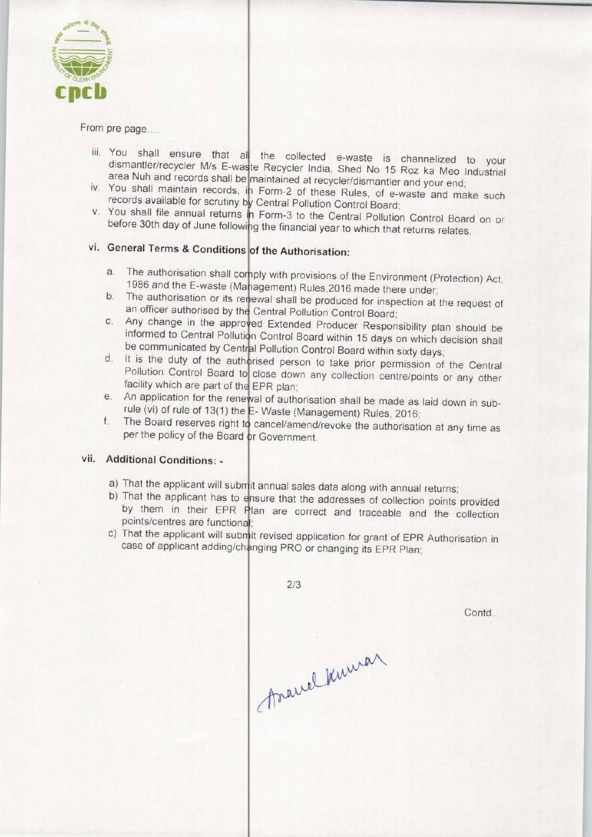

### From pre page....

- iii. You shall ensure that all the collected e-waste is channelized to your dismantler/recycler M/s E-waste Recycler India, Shed No 15 Roz ka Meo Industrial area Nuh and records shall be maintained at recycler/dismantler and your end
- iv. You shall maintain records shall be inaintained at recycler/dismantler and your end;<br>iv. You shall maintain records, in Form-2 of these Rules, of e-waste and make such records available for scrutiny by Central Pollution Control Board;
- v. You shall file annual returns in Form-3 to the Central Pollution Control Board on or before 30th day of June following the financial year to which that returns relates.

### vi. General Terms & Conditions of the Authorisation:

- a. The authorisation shall comply with provisions of the Environment (Protection) Act, 1986 and the E-waste (Management) Rules, 2016 made there under the dationsation shall comply with provisions of the Environment (Protection) Act<br>1986 and the E-waste (Management) Rules, 2016 made there under;<br>b. The authorisation or its renewal shall be produced for inspection at the
- an officer authorised by the Central Pollution Control Board; an officer authorised by the Central Pollution Control Board;<br>
c. Any change in the approved Extended Producer Responsibility plan should be<br>
informed to Central Dubbe
- informed to Central Pollution Control Board within 15 days on which decision shall be communicated by Central Pollution Control Board within sixty days<br>d. It is the duty of the authorised person to take prior permission of
- It is the duty of the authorised person to take prior permission of the Central Pollution Control Board to close down any collection centre/points or any other facility which are part of the EPR plan; facility which are part of the EPR plan;<br>e. An application for the renewal of authorisation shall be made as laid down in sub-
- rule (vi) of rule of 13(1) the  $E W$ aste (Management) Rules, 2016 e. An application for the renewal of authorisation shall be made as laid down in sub-<br>rule (vi) of rule of 13(1) the E-Waste (Management) Rules, 2016;<br>f. The Board reserves right to cancel/amend/revoke the authorisation at
- per the policy of the Board or Government

### vii. Additional Conditions: -

- a) That the applicant will submit annual sales data along with annual returns
- b) That the applicant has to ensure that the addresses of collection points provided by them in their EPR Plan are correct and traceable and the collection points/centres are functional;
- c) That the applicant will submit revised application for grant of EPR Authorisation in case of applicant adding/changing PRO or changing its EPR Plan;

 $2/3$ Anamal Kuman

Contd